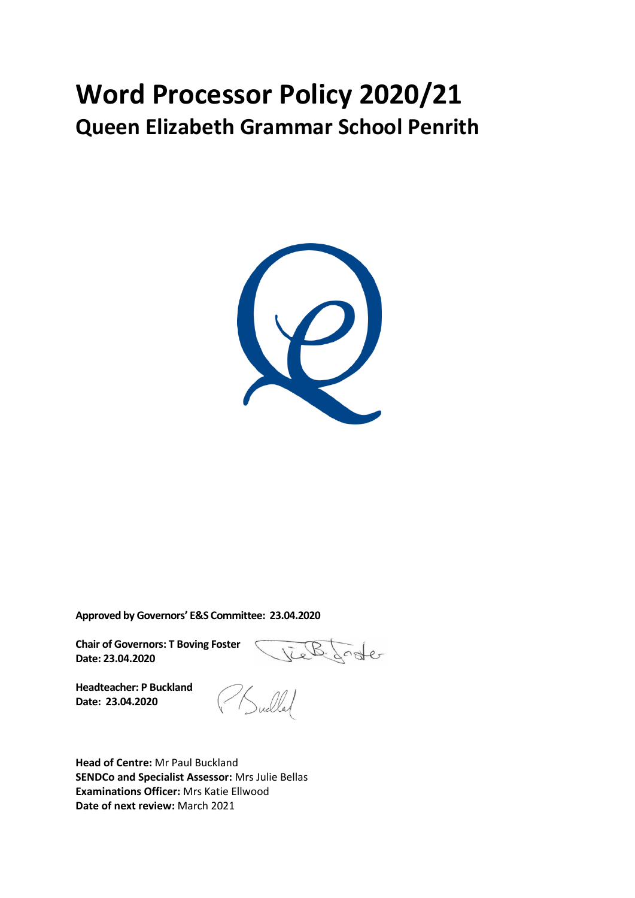# **Word Processor Policy 2020/21 Queen Elizabeth Grammar School Penrith**



**Approved by Governors' E&S Committee: 23.04.2020**

**Chair of Governors: T Boving Foster Date: 23.04.2020**

 $27$ 

**Headteacher: P Buckland Date: 23.04.2020**

**Head of Centre:** Mr Paul Buckland **SENDCo and Specialist Assessor:** Mrs Julie Bellas **Examinations Officer:** Mrs Katie Ellwood **Date of next review:** March 2021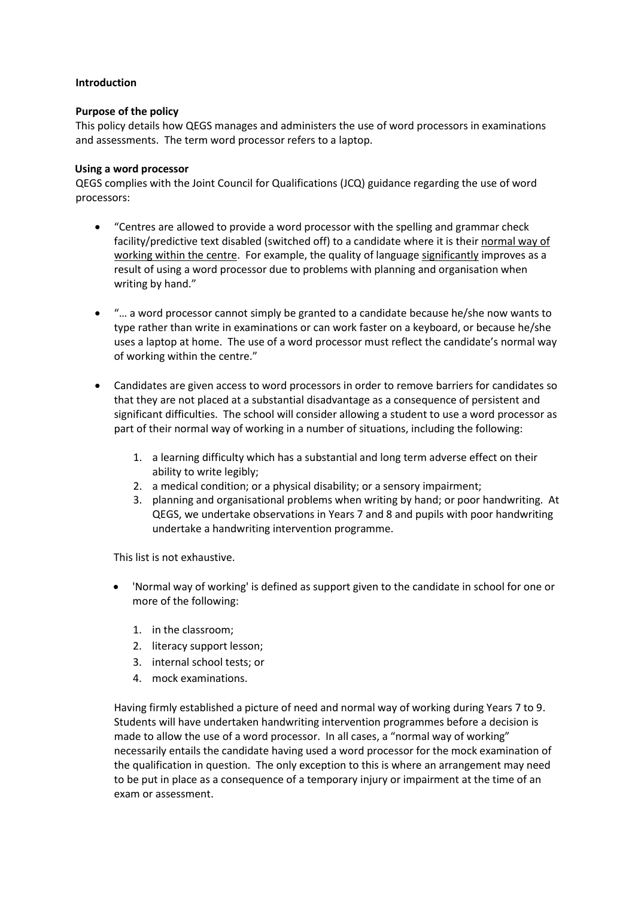## **Introduction**

## **Purpose of the policy**

This policy details how QEGS manages and administers the use of word processors in examinations and assessments.The term word processor refers to a laptop.

#### **Using a word processor**

QEGS complies with the Joint Council for Qualifications (JCQ) guidance regarding the use of word processors:

- "Centres are allowed to provide a word processor with the spelling and grammar check facility/predictive text disabled (switched off) to a candidate where it is their normal way of working within the centre. For example, the quality of language significantly improves as a result of using a word processor due to problems with planning and organisation when writing by hand."
- "… a word processor cannot simply be granted to a candidate because he/she now wants to type rather than write in examinations or can work faster on a keyboard, or because he/she uses a laptop at home. The use of a word processor must reflect the candidate's normal way of working within the centre."
- Candidates are given access to word processors in order to remove barriers for candidates so that they are not placed at a substantial disadvantage as a consequence of persistent and significant difficulties. The school will consider allowing a student to use a word processor as part of their normal way of working in a number of situations, including the following:
	- 1. a learning difficulty which has a substantial and long term adverse effect on their ability to write legibly;
	- 2. a medical condition; or a physical disability; or a sensory impairment;
	- 3. planning and organisational problems when writing by hand; or poor handwriting. At QEGS, we undertake observations in Years 7 and 8 and pupils with poor handwriting undertake a handwriting intervention programme.

This list is not exhaustive.

- 'Normal way of working' is defined as support given to the candidate in school for one or more of the following:
	- 1. in the classroom;
	- 2. literacy support lesson;
	- 3. internal school tests; or
	- 4. mock examinations.

Having firmly established a picture of need and normal way of working during Years 7 to 9. Students will have undertaken handwriting intervention programmes before a decision is made to allow the use of a word processor. In all cases, a "normal way of working" necessarily entails the candidate having used a word processor for the mock examination of the qualification in question. The only exception to this is where an arrangement may need to be put in place as a consequence of a temporary injury or impairment at the time of an exam or assessment.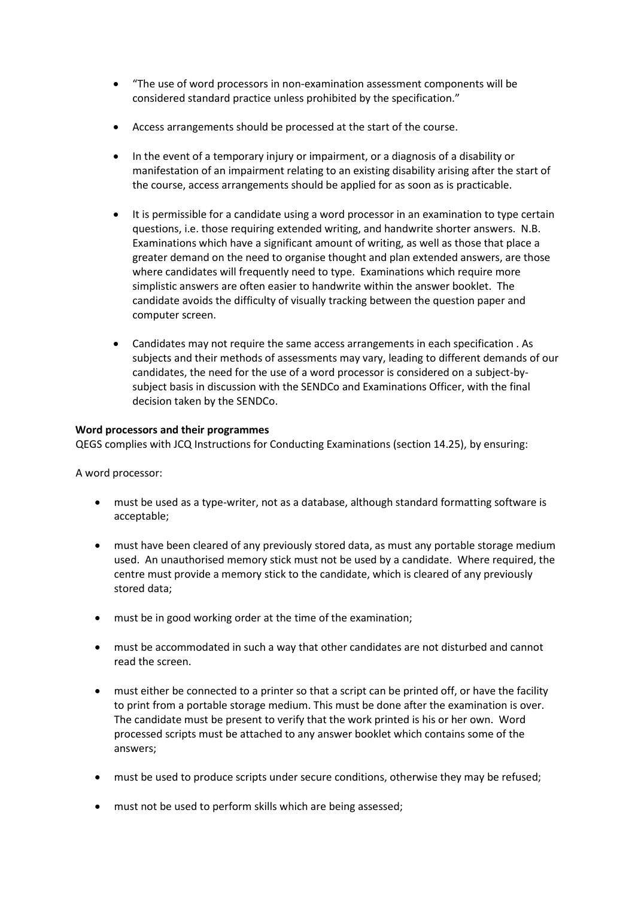- "The use of word processors in non-examination assessment components will be considered standard practice unless prohibited by the specification."
- Access arrangements should be processed at the start of the course.
- In the event of a temporary injury or impairment, or a diagnosis of a disability or manifestation of an impairment relating to an existing disability arising after the start of the course, access arrangements should be applied for as soon as is practicable.
- It is permissible for a candidate using a word processor in an examination to type certain questions, i.e. those requiring extended writing, and handwrite shorter answers. N.B. Examinations which have a significant amount of writing, as well as those that place a greater demand on the need to organise thought and plan extended answers, are those where candidates will frequently need to type. Examinations which require more simplistic answers are often easier to handwrite within the answer booklet. The candidate avoids the difficulty of visually tracking between the question paper and computer screen.
- Candidates may not require the same access arrangements in each specification . As subjects and their methods of assessments may vary, leading to different demands of our candidates, the need for the use of a word processor is considered on a subject-bysubject basis in discussion with the SENDCo and Examinations Officer, with the final decision taken by the SENDCo.

## **Word processors and their programmes**

QEGS complies with JCQ Instructions for Conducting Examinations (section 14.25), by ensuring:

A word processor:

- must be used as a type-writer, not as a database, although standard formatting software is acceptable;
- must have been cleared of any previously stored data, as must any portable storage medium used. An unauthorised memory stick must not be used by a candidate. Where required, the centre must provide a memory stick to the candidate, which is cleared of any previously stored data;
- must be in good working order at the time of the examination;
- must be accommodated in such a way that other candidates are not disturbed and cannot read the screen.
- must either be connected to a printer so that a script can be printed off, or have the facility to print from a portable storage medium. This must be done after the examination is over. The candidate must be present to verify that the work printed is his or her own. Word processed scripts must be attached to any answer booklet which contains some of the answers;
- must be used to produce scripts under secure conditions, otherwise they may be refused;
- must not be used to perform skills which are being assessed;